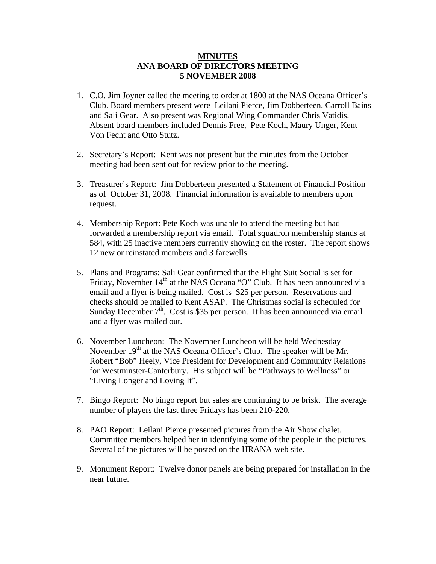## **MINUTES ANA BOARD OF DIRECTORS MEETING 5 NOVEMBER 2008**

- 1. C.O. Jim Joyner called the meeting to order at 1800 at the NAS Oceana Officer's Club. Board members present were Leilani Pierce, Jim Dobberteen, Carroll Bains and Sali Gear. Also present was Regional Wing Commander Chris Vatidis. Absent board members included Dennis Free, Pete Koch, Maury Unger, Kent Von Fecht and Otto Stutz.
- 2. Secretary's Report: Kent was not present but the minutes from the October meeting had been sent out for review prior to the meeting.
- 3. Treasurer's Report: Jim Dobberteen presented a Statement of Financial Position as of October 31, 2008. Financial information is available to members upon request.
- 4. Membership Report: Pete Koch was unable to attend the meeting but had forwarded a membership report via email. Total squadron membership stands at 584, with 25 inactive members currently showing on the roster. The report shows 12 new or reinstated members and 3 farewells.
- 5. Plans and Programs: Sali Gear confirmed that the Flight Suit Social is set for Friday, November 14<sup>th</sup> at the NAS Oceana "O" Club. It has been announced via email and a flyer is being mailed. Cost is \$25 per person. Reservations and checks should be mailed to Kent ASAP. The Christmas social is scheduled for Sunday December  $7<sup>th</sup>$ . Cost is \$35 per person. It has been announced via email and a flyer was mailed out.
- 6. November Luncheon: The November Luncheon will be held Wednesday November 19<sup>th</sup> at the NAS Oceana Officer's Club. The speaker will be Mr. Robert "Bob" Heely, Vice President for Development and Community Relations for Westminster-Canterbury. His subject will be "Pathways to Wellness" or "Living Longer and Loving It".
- 7. Bingo Report: No bingo report but sales are continuing to be brisk. The average number of players the last three Fridays has been 210-220.
- 8. PAO Report: Leilani Pierce presented pictures from the Air Show chalet. Committee members helped her in identifying some of the people in the pictures. Several of the pictures will be posted on the HRANA web site.
- 9. Monument Report: Twelve donor panels are being prepared for installation in the near future.